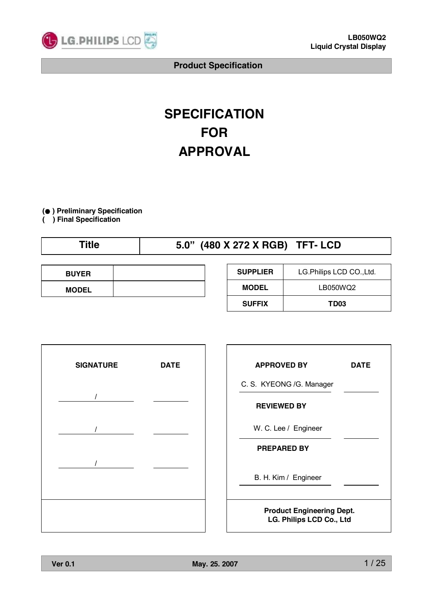

# **SPECIFICATION FOR APPROVAL**

**(● ) Preliminary Specification**

**( ) Final Specification**

# **Title 5.0" (480 X 272 X RGB) TFT- LCD**

| <b>BUYER</b> |  |
|--------------|--|
| <b>MODEL</b> |  |

| <b>SUPPLIER</b><br>LG. Philips LCD CO., Ltd. |      |  |  |  |
|----------------------------------------------|------|--|--|--|
| LB050WQ2<br><b>MODEL</b>                     |      |  |  |  |
| <b>SUFFIX</b>                                | TD03 |  |  |  |



| <b>APPROVED BY</b>                                           | DATE |  |  |  |
|--------------------------------------------------------------|------|--|--|--|
| C. S. KYEONG /G. Manager                                     |      |  |  |  |
| <b>REVIEWED BY</b>                                           |      |  |  |  |
| W. C. Lee / Engineer                                         |      |  |  |  |
| <b>PREPARED BY</b>                                           |      |  |  |  |
| B. H. Kim / Engineer                                         |      |  |  |  |
| <b>Product Engineering Dept.</b><br>LG. Philips LCD Co., Ltd |      |  |  |  |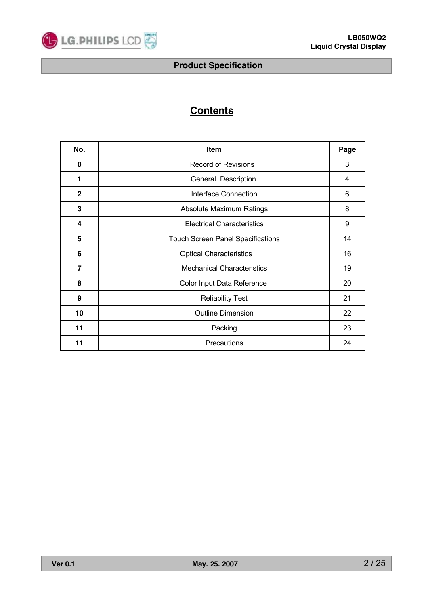

# **Contents**

| No.          | Item                                     | Page |
|--------------|------------------------------------------|------|
| 0            | <b>Record of Revisions</b>               | 3    |
| 1            | General Description                      | 4    |
| $\mathbf{2}$ | Interface Connection                     | 6    |
| 3            | Absolute Maximum Ratings                 | 8    |
| 4            | <b>Electrical Characteristics</b>        | 9    |
| 5            | <b>Touch Screen Panel Specifications</b> | 14   |
| 6            | <b>Optical Characteristics</b>           | 16   |
| 7            | <b>Mechanical Characteristics</b>        | 19   |
| 8            | Color Input Data Reference               | 20   |
| 9            | <b>Reliability Test</b>                  | 21   |
| 10           | <b>Outline Dimension</b>                 | 22   |
| 11           | Packing                                  | 23   |
| 11           | Precautions                              | 24   |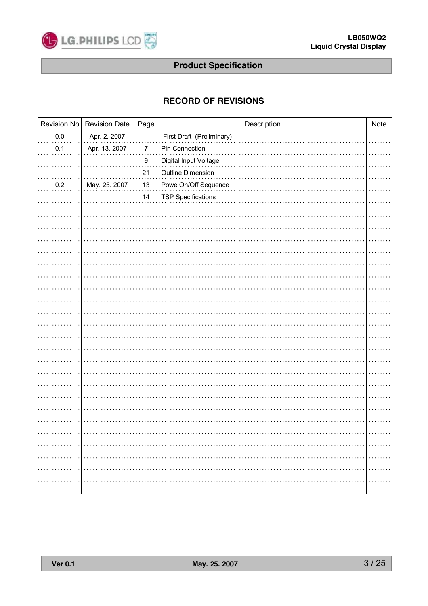

# **RECORD OF REVISIONS**

|               | Page                                | Description               | Note                      |
|---------------|-------------------------------------|---------------------------|---------------------------|
| Apr. 2. 2007  |                                     |                           |                           |
| Apr. 13. 2007 | 7                                   | Pin Connection            |                           |
|               | 9                                   | Digital Input Voltage     |                           |
|               | 21                                  | Outline Dimension         |                           |
| May. 25. 2007 | 13                                  | Powe On/Off Sequence      |                           |
|               | 14                                  | <b>TSP Specifications</b> |                           |
|               |                                     |                           |                           |
|               |                                     |                           |                           |
|               |                                     |                           |                           |
|               |                                     |                           |                           |
|               |                                     |                           |                           |
|               |                                     |                           |                           |
|               |                                     |                           |                           |
|               |                                     |                           |                           |
|               |                                     |                           |                           |
|               |                                     |                           |                           |
|               |                                     |                           |                           |
|               |                                     |                           |                           |
|               |                                     |                           |                           |
|               |                                     |                           |                           |
|               |                                     |                           |                           |
|               |                                     |                           |                           |
|               |                                     |                           |                           |
|               |                                     |                           |                           |
|               |                                     |                           |                           |
|               |                                     |                           |                           |
|               |                                     |                           | .                         |
|               |                                     |                           | <b>THE REPORT</b>         |
|               |                                     |                           | .                         |
|               |                                     |                           |                           |
|               | Revision No<br><b>Revision Date</b> |                           | First Draft (Preliminary) |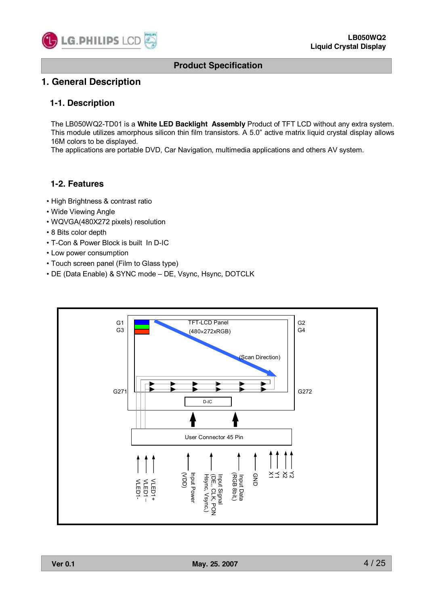

# **1. General Description**

### **1-1. Description**

The LB050WQ2-TD01 is a **White LED Backlight Assembly** Product of TFT LCD without any extra system. This module utilizes amorphous silicon thin film transistors. A 5.0" active matrix liquid crystal display allows 16M colors to be displayed.

The applications are portable DVD, Car Navigation, multimedia applications and others AV system.

# **1-2. Features**

- High Brightness & contrast ratio
- Wide Viewing Angle
- WQVGA(480X272 pixels) resolution
- 8 Bits color depth
- T-Con & Power Block is built In D-IC
- Low power consumption
- Touch screen panel (Film to Glass type)
- DE (Data Enable) & SYNC mode DE, Vsync, Hsync, DOTCLK

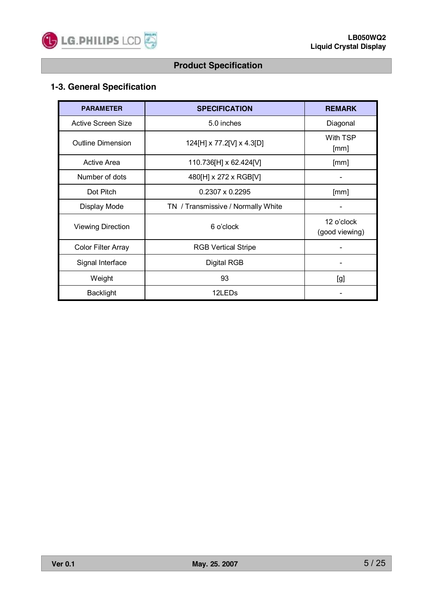

# **1-3. General Specification**

| <b>PARAMETER</b>          | <b>SPECIFICATION</b>               | <b>REMARK</b>                |
|---------------------------|------------------------------------|------------------------------|
| Active Screen Size        | 5.0 inches                         | Diagonal                     |
| <b>Outline Dimension</b>  | 124[H] x 77.2[V] x 4.3[D]          | With TSP<br>[mm]             |
| Active Area               | 110.736[H] x 62.424[V]             | [mm]                         |
| Number of dots            | 480[H] x 272 x RGB[V]              |                              |
| Dot Pitch                 | $0.2307 \times 0.2295$             | [mm]                         |
| Display Mode              | TN / Transmissive / Normally White |                              |
| <b>Viewing Direction</b>  | 6 o'clock                          | 12 o'clock<br>(good viewing) |
| <b>Color Filter Array</b> | <b>RGB Vertical Stripe</b>         |                              |
| Signal Interface          | Digital RGB                        |                              |
| Weight                    | 93                                 | [g]                          |
| <b>Backlight</b>          | 12LED <sub>s</sub>                 |                              |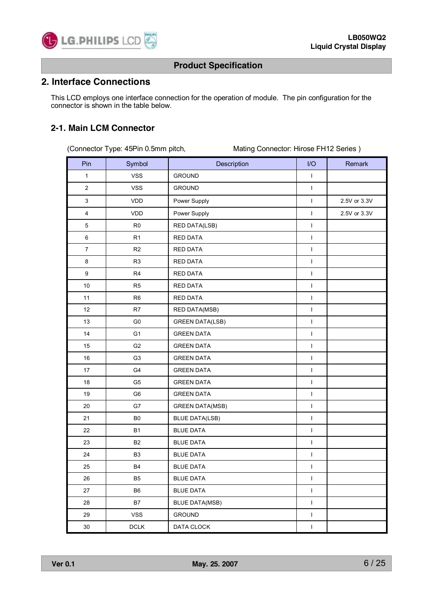

# **2. Interface Connections**

This LCD employs one interface connection for the operation of module. The pin configuration for the connector is shown in the table below.

## **2-1. Main LCM Connector**

(Connector Type: 45Pin 0.5mm pitch, Mating Connector: Hirose FH12 Series )

| Pin            | Symbol         | Description            | I/O          | Remark       |
|----------------|----------------|------------------------|--------------|--------------|
| $\mathbf{1}$   | <b>VSS</b>     | <b>GROUND</b>          | $\mathbf{I}$ |              |
| $\overline{2}$ | <b>VSS</b>     | <b>GROUND</b>          | $\mathsf{I}$ |              |
| $\mathfrak{S}$ | <b>VDD</b>     | Power Supply           | $\mathbf{I}$ | 2.5V or 3.3V |
| $\overline{4}$ | VDD            | Power Supply           | $\mathbf{I}$ | 2.5V or 3.3V |
| $\mathbf 5$    | R <sub>0</sub> | RED DATA(LSB)          | $\mathsf I$  |              |
| $\,6\,$        | R <sub>1</sub> | <b>RED DATA</b>        | $\mathbf{I}$ |              |
| $\overline{7}$ | R2             | <b>RED DATA</b>        | $\mathbf{I}$ |              |
| 8              | R <sub>3</sub> | RED DATA               | $\mathbf{I}$ |              |
| 9              | R <sub>4</sub> | <b>RED DATA</b>        | $\mathsf I$  |              |
| 10             | R <sub>5</sub> | RED DATA               | $\mathsf I$  |              |
| 11             | R <sub>6</sub> | <b>RED DATA</b>        | $\mathbf{I}$ |              |
| 12             | R7             | <b>RED DATA(MSB)</b>   | $\mathbf{I}$ |              |
| 13             | G <sub>0</sub> | <b>GREEN DATA(LSB)</b> | $\mathbf{I}$ |              |
| 14             | G <sub>1</sub> | <b>GREEN DATA</b>      | $\mathsf I$  |              |
| 15             | G <sub>2</sub> | <b>GREEN DATA</b>      | $\mathsf I$  |              |
| 16             | G <sub>3</sub> | <b>GREEN DATA</b>      | $\mathbf{I}$ |              |
| 17             | G4             | <b>GREEN DATA</b>      | $\mathbf{I}$ |              |
| 18             | G <sub>5</sub> | <b>GREEN DATA</b>      | $\mathbf{I}$ |              |
| 19             | G <sub>6</sub> | <b>GREEN DATA</b>      | $\mathsf I$  |              |
| 20             | G7             | <b>GREEN DATA(MSB)</b> | $\mathbf{I}$ |              |
| 21             | B <sub>0</sub> | <b>BLUE DATA(LSB)</b>  | $\mathsf I$  |              |
| 22             | <b>B1</b>      | <b>BLUE DATA</b>       | $\mathbf{I}$ |              |
| 23             | B <sub>2</sub> | <b>BLUE DATA</b>       | $\mathbf{I}$ |              |
| 24             | B <sub>3</sub> | <b>BLUE DATA</b>       | $\mathsf I$  |              |
| 25             | B4             | <b>BLUE DATA</b>       | $\mathbf{I}$ |              |
| ${\bf 26}$     | B <sub>5</sub> | <b>BLUE DATA</b>       | $\mathbf{I}$ |              |
| 27             | B6             | <b>BLUE DATA</b>       | $\mathsf I$  |              |
| 28             | <b>B7</b>      | <b>BLUE DATA(MSB)</b>  | $\mathsf I$  |              |
| 29             | <b>VSS</b>     | <b>GROUND</b>          | $\mathsf I$  |              |
| $30\,$         | DCLK           | DATA CLOCK             | $\mathbf{I}$ |              |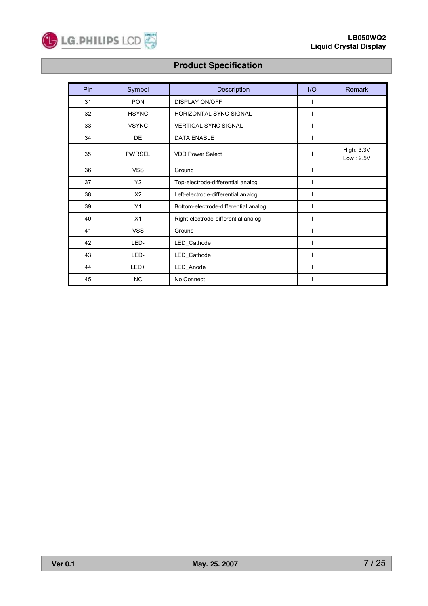

| Pin | Symbol         | Description                          | 1/O | <b>Remark</b>           |
|-----|----------------|--------------------------------------|-----|-------------------------|
| 31  | <b>PON</b>     | <b>DISPLAY ON/OFF</b>                |     |                         |
| 32  | <b>HSYNC</b>   | <b>HORIZONTAL SYNC SIGNAL</b>        | ı   |                         |
| 33  | <b>VSYNC</b>   | <b>VERTICAL SYNC SIGNAL</b>          | I   |                         |
| 34  | DE             | <b>DATA ENABLE</b>                   | L   |                         |
| 35  | <b>PWRSEL</b>  | <b>VDD Power Select</b>              |     | High: 3.3V<br>Low: 2.5V |
| 36  | <b>VSS</b>     | Ground                               | T   |                         |
| 37  | Y2             | Top-electrode-differential analog    |     |                         |
| 38  | X <sub>2</sub> | Left-electrode-differential analog   |     |                         |
| 39  | Y1             | Bottom-electrode-differential analog | ı   |                         |
| 40  | X1             | Right-electrode-differential analog  | I   |                         |
| 41  | <b>VSS</b>     | Ground                               |     |                         |
| 42  | LED-           | LED_Cathode                          |     |                         |
| 43  | LED-           | LED_Cathode                          | T   |                         |
| 44  | LED+           | LED_Anode                            | T   |                         |
| 45  | NC             | No Connect                           |     |                         |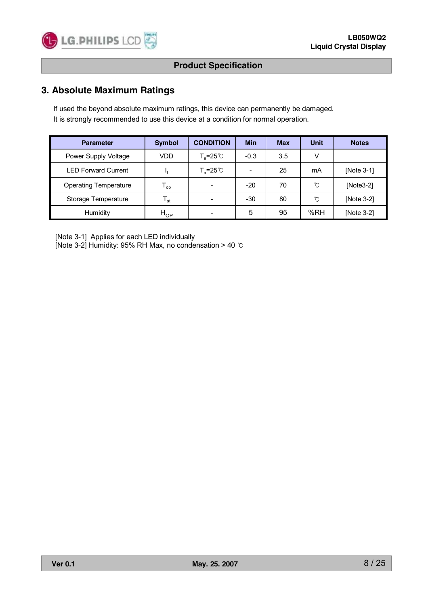

# **3. Absolute Maximum Ratings**

If used the beyond absolute maximum ratings, this device can permanently be damaged. It is strongly recommended to use this device at a condition for normal operation.

| <b>Parameter</b>             | <b>Symbol</b>              | <b>CONDITION</b>    | <b>Min</b>               | <b>Max</b> | Unit | <b>Notes</b> |
|------------------------------|----------------------------|---------------------|--------------------------|------------|------|--------------|
| Power Supply Voltage         | VDD                        | $T_a = 25^{\circ}$  | $-0.3$                   | 3.5        | V    |              |
| <b>LED Forward Current</b>   |                            | $T_a = 25^{\circ}C$ | $\overline{\phantom{0}}$ | 25         | mA   | [Note 3-1]   |
| <b>Operating Temperature</b> | $\mathsf{T}_{\mathsf{op}}$ |                     | $-20$                    | 70         | ົົ   | $[Note3-2]$  |
| Storage Temperature          | $\mathsf{T}_{\mathsf{st}}$ |                     | $-30$                    | 80         | ົໂ   | [Note 3-2]   |
| Humidity                     | $H_{OP}$                   |                     | 5                        | 95         | %RH  | [Note 3-2]   |

[Note 3-1] Applies for each LED individually

[Note 3-2] Humidity: 95% RH Max, no condensation > 40 ℃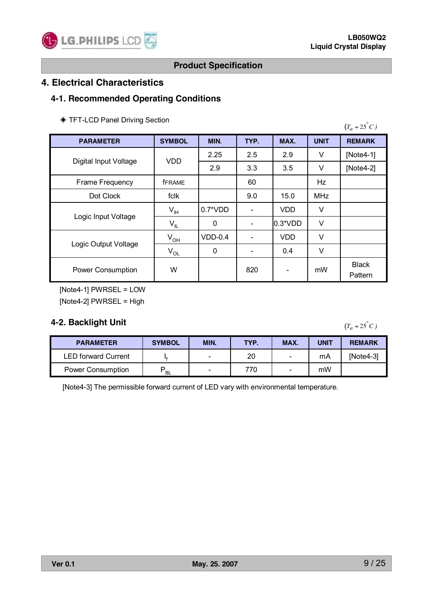

# **4. Electrical Characteristics**

# **4-1. Recommended Operating Conditions**

| TFT-LCD Panel Driving Section |  |  |
|-------------------------------|--|--|
|                               |  |  |

| <b>PARAMETER</b>         | <b>SYMBOL</b>  | MIN.      | TYP. | MAX.                     | <b>UNIT</b> | <b>REMARK</b>           |  |
|--------------------------|----------------|-----------|------|--------------------------|-------------|-------------------------|--|
|                          | <b>VDD</b>     | 2.25      | 2.5  | 2.9                      | V           | [Note4-1]               |  |
| Digital Input Voltage    |                | 2.9       | 3.3  | 3.5                      | V           | [ $Note4-2$ ]           |  |
| Frame Frequency          | <b>fFRAME</b>  |           | 60   |                          | Hz          |                         |  |
| Dot Clock                | fclk           |           | 9.0  | 15.0                     | <b>MHz</b>  |                         |  |
| Logic Input Voltage      | $V_{\text{H}}$ | $0.7*VDD$ |      | <b>VDD</b>               | ٧           |                         |  |
|                          | $V_{IL}$       | 0         |      | $0.3*VDD$                | V           |                         |  |
|                          | $V_{OH}$       | $VDD-0.4$ |      | <b>VDD</b>               | V           |                         |  |
| Logic Output Voltage     | $\rm V_{OL}$   | 0         |      | 0.4                      | V           |                         |  |
| <b>Power Consumption</b> | W              |           | 820  | $\overline{\phantom{a}}$ | mW          | <b>Black</b><br>Pattern |  |

[Note4-1] PWRSEL = LOW [Note4-2] PWRSEL = High

# **4-2. Backlight Unit**

 $(T_a = 25^\circ C)$ 

| <b>PARAMETER</b>           | <b>SYMBOL</b> | MIN.   | TYP. | MAX. | <b>UNIT</b> | <b>REMARK</b> |
|----------------------------|---------------|--------|------|------|-------------|---------------|
| <b>LED forward Current</b> |               | $\sim$ | 20   | Ξ.   | mA          | $[Note4-3]$   |
| <b>Power Consumption</b>   | <b>BL</b>     | $\sim$ | 770  | Ξ.   | mW          |               |

[Note4-3] The permissible forward current of LED vary with environmental temperature.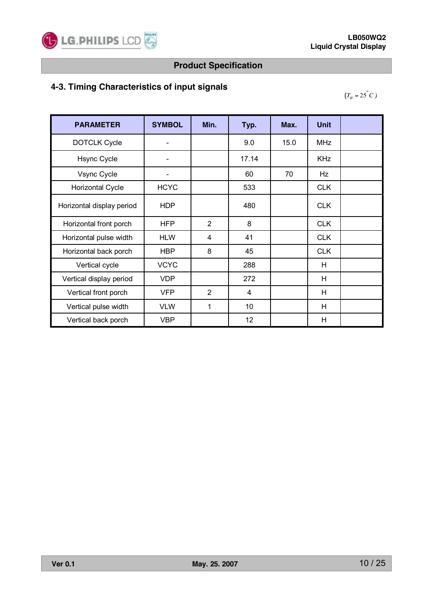

# **4-3. Timing Characteristics of input signals**

 $(T_a = 25^\circ C)$ 

| <b>PARAMETER</b>          | <b>SYMBOL</b> | Min.           | Typ.  | Max. | <b>Unit</b> |  |
|---------------------------|---------------|----------------|-------|------|-------------|--|
| <b>DOTCLK Cycle</b>       |               |                | 9.0   | 15.0 | <b>MHz</b>  |  |
| <b>Hsync Cycle</b>        |               |                | 17.14 |      | <b>KHz</b>  |  |
| Vsync Cycle               |               |                | 60    | 70   | Hz          |  |
| <b>Horizontal Cycle</b>   | <b>HCYC</b>   |                | 533   |      | <b>CLK</b>  |  |
| Horizontal display period | <b>HDP</b>    |                | 480   |      | <b>CLK</b>  |  |
| Horizontal front porch    | <b>HFP</b>    | $\overline{2}$ | 8     |      | <b>CLK</b>  |  |
| Horizontal pulse width    | <b>HLW</b>    | 4              | 41    |      | <b>CLK</b>  |  |
| Horizontal back porch     | <b>HBP</b>    | 8              | 45    |      | <b>CLK</b>  |  |
| Vertical cycle            | <b>VCYC</b>   |                | 288   |      | H           |  |
| Vertical display period   | <b>VDP</b>    |                | 272   |      | H           |  |
| Vertical front porch      | <b>VFP</b>    | $\overline{2}$ | 4     |      | H           |  |
| Vertical pulse width      | <b>VLW</b>    | 1              | 10    |      | H           |  |
| Vertical back porch       | <b>VBP</b>    |                | 12    |      | H           |  |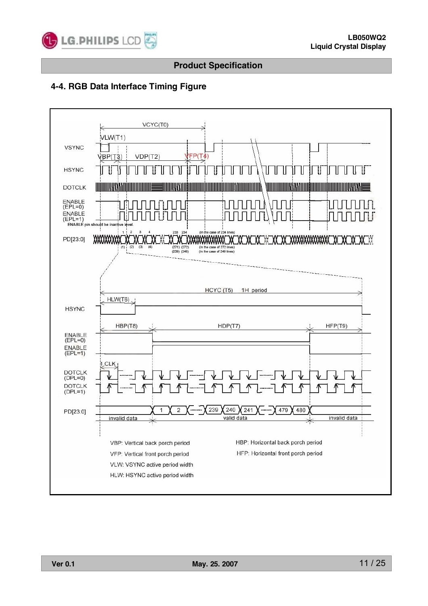

# **4-4. RGB Data Interface Timing Figure**

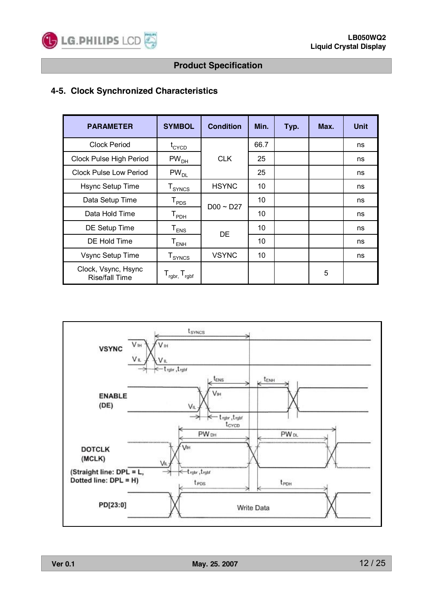

# **4-5. Clock Synchronized Characteristics**

| <b>PARAMETER</b>                      | <b>SYMBOL</b>                      | <b>Condition</b> | Min. | Typ. | Max. | <b>Unit</b> |
|---------------------------------------|------------------------------------|------------------|------|------|------|-------------|
| <b>Clock Period</b>                   | $t_{\text{CYCD}}$                  |                  | 66.7 |      |      | ns          |
| Clock Pulse High Period               | PW <sub>DH</sub>                   | <b>CLK</b>       | 25   |      |      | ns          |
| Clock Pulse Low Period                | $PW_{DL}$                          |                  | 25   |      |      | ns          |
| Hsync Setup Time                      | $T_{SYNCS}$                        | <b>HSYNC</b>     | 10   |      |      | ns          |
| Data Setup Time                       | $\mathsf{T}_{\texttt{PDS}}$        | DO0 ~ D27        | 10   |      |      | ns          |
| Data Hold Time                        | $\mathsf{T}_{\mathsf{PDH}}$        |                  | 10   |      |      | ns          |
| DE Setup Time                         | ${\tt T_{ENS}}$                    | DE               | 10   |      |      | ns          |
| DE Hold Time                          | ${\tt T}_{\sf ENH}$                |                  | 10   |      |      | ns          |
| Vsync Setup Time                      | $T_{\text{SYNCS}}$                 | <b>VSYNC</b>     | 10   |      |      | ns          |
| Clock, Vsync, Hsync<br>Rise/fall Time | $T_{\text{rgbr}, T_{\text{rgbf}}}$ |                  |      |      | 5    |             |

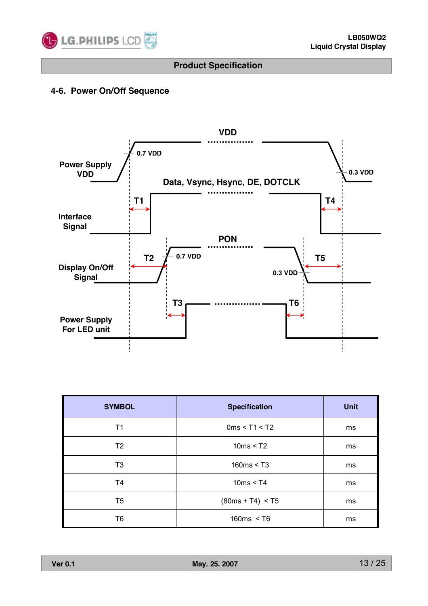

# **4-6. Power On/Off Sequence**



| <b>SYMBOL</b>  | <b>Specification</b> | <b>Unit</b> |
|----------------|----------------------|-------------|
| T1             | 0ms < T1 < T2        | ms          |
| T <sub>2</sub> | 10ms < T2            | ms          |
| T3             | 160ms < T3           | ms          |
| T4             | 10ms < T4            | ms          |
| T5             | $(80ms + T4) < T5$   | ms          |
| T6             | 160ms < T6           | ms          |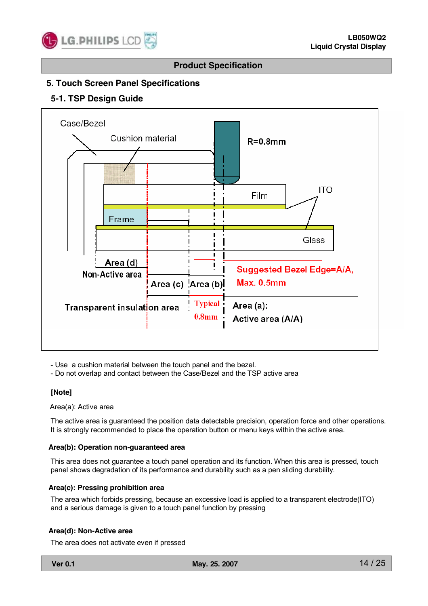

# **5. Touch Screen Panel Specifications**

### **5-1. TSP Design Guide**



- Use a cushion material between the touch panel and the bezel.

- Do not overlap and contact between the Case/Bezel and the TSP active area

#### **[Note]**

Area(a): Active area

The active area is guaranteed the position data detectable precision, operation force and other operations. It is strongly recommended to place the operation button or menu keys within the active area.

#### **Area(b): Operation non-guaranteed area**

This area does not guarantee a touch panel operation and its function. When this area is pressed, touch panel shows degradation of its performance and durability such as a pen sliding durability.

#### **Area(c): Pressing prohibition area**

The area which forbids pressing, because an excessive load is applied to a transparent electrode(ITO) and a serious damage is given to a touch panel function by pressing

#### **Area(d): Non-Active area**

The area does not activate even if pressed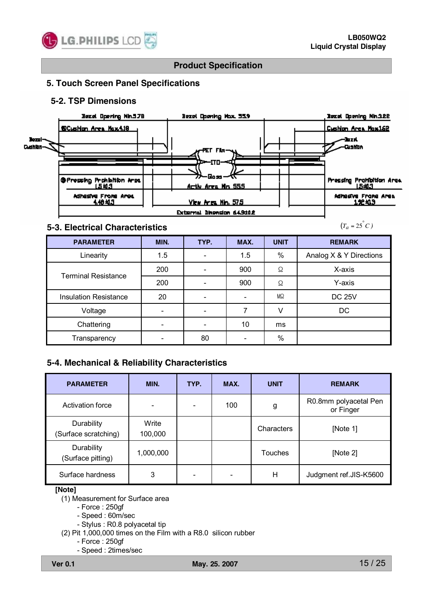

## **5. Touch Screen Panel Specifications**

### **5-2. TSP Dimensions**



### **5-3. Electrical Characteristics**

 $(T_a = 25^\circ C)$ 

| <b>PARAMETER</b>             | MIN. | TYP.                         | MAX. | <b>UNIT</b> | <b>REMARK</b>           |
|------------------------------|------|------------------------------|------|-------------|-------------------------|
| Linearity                    | 1.5  | $\overline{\phantom{0}}$     | 1.5  | %           | Analog X & Y Directions |
| <b>Terminal Resistance</b>   | 200  |                              | 900  | Ω           | X-axis                  |
|                              | 200  |                              | 900  | Ω           | Y-axis                  |
| <b>Insulation Resistance</b> | 20   | $\qquad \qquad \blacksquare$ |      | $M\Omega$   | <b>DC 25V</b>           |
| Voltage                      |      |                              | 7    | V           | DC                      |
| Chattering                   |      |                              | 10   | ms          |                         |
| Transparency                 |      | 80                           |      | $\%$        |                         |

# **5-4. Mechanical & Reliability Characteristics**

| <b>PARAMETER</b>                   | MIN.                     | TYP. | MAX. | <b>UNIT</b>    | <b>REMARK</b>                      |
|------------------------------------|--------------------------|------|------|----------------|------------------------------------|
| Activation force                   | $\overline{\phantom{0}}$ |      | 100  | g              | R0.8mm polyacetal Pen<br>or Finger |
| Durability<br>(Surface scratching) | Write<br>100,000         |      |      | Characters     | [Note 1]                           |
| Durability<br>(Surface pitting)    | 1,000,000                |      |      | <b>Touches</b> | [Note 2]                           |
| Surface hardness                   | 3                        |      | -    | Н              | Judgment ref.JIS-K5600             |

#### **[Note]**

(1) Measurement for Surface area

- Force : 250gf

- Speed : 60m/sec
- Stylus : R0.8 polyacetal tip
- (2) Pit 1,000,000 times on the Film with a R8.0 silicon rubber
	- Force : 250gf
	- Speed : 2times/sec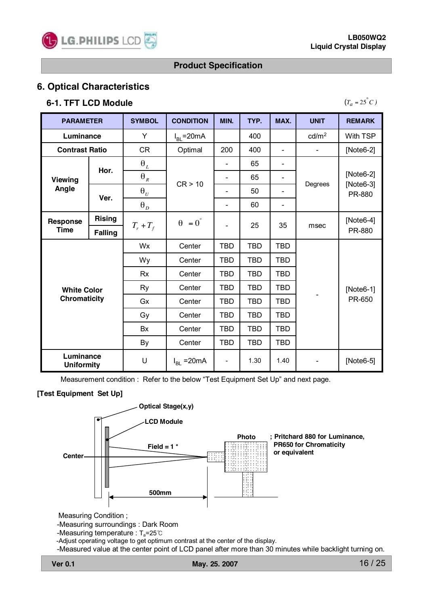

# **6. Optical Characteristics**

# **6-1. TFT LCD Module**

| , |  |  |
|---|--|--|

| <b>PARAMETER</b>               |                     | <b>SYMBOL</b>           | <b>CONDITION</b>       | MIN.                         | TYP.       | MAX.                         | <b>UNIT</b>                  | <b>REMARK</b>              |
|--------------------------------|---------------------|-------------------------|------------------------|------------------------------|------------|------------------------------|------------------------------|----------------------------|
| Luminance                      |                     | Y                       | $I_{BL}$ =20mA         |                              | 400        |                              | cd/m <sup>2</sup>            | With TSP                   |
| <b>Contrast Ratio</b>          |                     | CR                      | Optimal                | 200                          | 400        | $\overline{\phantom{0}}$     | $\overline{\phantom{0}}$     | $[Note6-2]$                |
|                                | Hor.                | $\boldsymbol{\theta}_L$ |                        |                              | 65         | $\qquad \qquad \blacksquare$ |                              |                            |
| <b>Viewing</b>                 |                     | $\theta_R$              | CR > 10                |                              | 65         | $\qquad \qquad \blacksquare$ | Degrees                      | $[Note6-2]$<br>$[Note6-3]$ |
| Angle                          | Ver.                | $\theta$ <sub>U</sub>   |                        | $\qquad \qquad \blacksquare$ | 50         | $\overline{\phantom{0}}$     |                              | PR-880                     |
|                                |                     | $\theta_{D}$            |                        |                              | 60         | $\overline{\phantom{0}}$     |                              |                            |
| <b>Rising</b><br>Response      |                     | $T_r + T_f$             | $\theta = 0^{\degree}$ |                              | 25         | 35                           | msec                         | $[Note6-4]$                |
| <b>Time</b><br><b>Falling</b>  |                     |                         |                        |                              |            |                              |                              | PR-880                     |
|                                |                     | Wx                      | Center                 | <b>TBD</b>                   | <b>TBD</b> | <b>TBD</b>                   |                              |                            |
|                                |                     | Wy                      | Center                 | <b>TBD</b>                   | <b>TBD</b> | <b>TBD</b>                   |                              |                            |
|                                |                     | <b>Rx</b>               | Center                 | <b>TBD</b>                   | <b>TBD</b> | <b>TBD</b>                   |                              |                            |
| <b>White Color</b>             |                     | Ry                      | Center                 | <b>TBD</b>                   | <b>TBD</b> | <b>TBD</b>                   |                              | $[Note6-1]$                |
|                                | <b>Chromaticity</b> |                         | Center                 | <b>TBD</b>                   | <b>TBD</b> | <b>TBD</b>                   |                              | PR-650                     |
|                                |                     |                         | Center                 | <b>TBD</b>                   | <b>TBD</b> | TBD                          |                              |                            |
|                                |                     |                         | Center                 | <b>TBD</b>                   | <b>TBD</b> | <b>TBD</b>                   |                              |                            |
|                                |                     |                         | Center                 | <b>TBD</b>                   | <b>TBD</b> | <b>TBD</b>                   |                              |                            |
| Luminance<br><b>Uniformity</b> |                     | U                       | $I_{BL}$ = 20 mA       | $\overline{\phantom{a}}$     | 1.30       | 1.40                         | $\qquad \qquad \blacksquare$ | [Note6-5]                  |

Measurement condition : Refer to the below "Test Equipment Set Up" and next page.

# **[Test Equipment Set Up]**



Measuring Condition ;

-Measuring surroundings : Dark Room

-Measuring temperature : T<sub>a</sub>=25℃

-Adjust operating voltage to get optimum contrast at the center of the display.

-Measured value at the center point of LCD panel after more than 30 minutes while backlight turning on.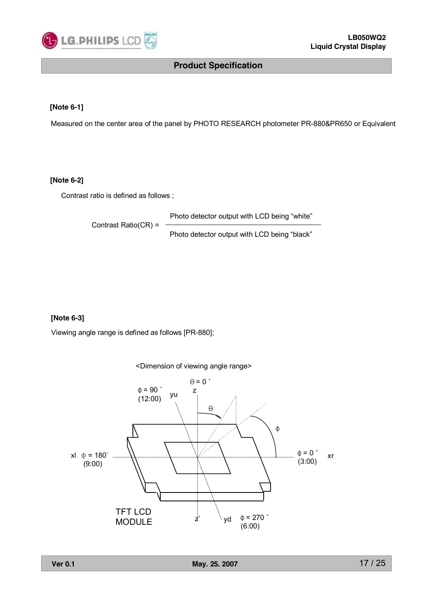

#### **[Note 6-1]**

Measured on the center area of the panel by PHOTO RESEARCH photometer PR-880&PR650 or Equivalent

### **[Note 6-2]**

Contrast ratio is defined as follows ;

Contrast Ratio(CR) =

Photo detector output with LCD being "white"

Photo detector output with LCD being "black"

### **[Note 6-3]**

Viewing angle range is defined as follows [PR-880];

<Dimension of viewing angle range>  $\overrightarrow{z}$   $\vee$  vd xr φ  $\theta = 0$   $\degree$  $\phi = 90^\circ$  yu z  $(12:00)$ θ  $\Phi = 0$  $\phi = 180^\circ$  (3:00) (9:00) xl  $\Phi = 180^\circ$  $φ = 270$ (6:00) TFT LCD MODULE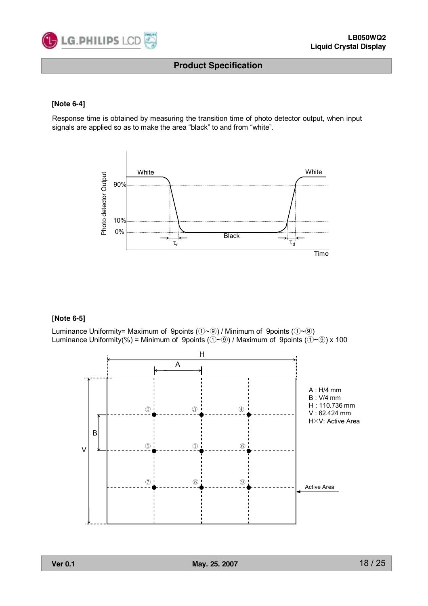

#### **[Note 6-4]**

Response time is obtained by measuring the transition time of photo detector output, when input signals are applied so as to make the area "black" to and from "white".



#### **[Note 6-5]**

Luminance Uniformity= Maximum of 9points (①~⑨) / Minimum of 9points (①~⑨) Luminance Uniformity(%) = Minimum of 9points ( $(\hat{U} \sim \hat{O})$  / Maximum of 9points ( $(\hat{U} \sim \hat{O})$ ) x 100

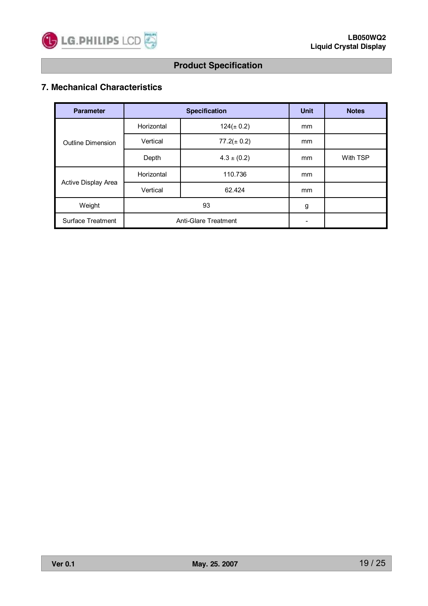

# **7. Mechanical Characteristics**

| <b>Parameter</b>         |            | <b>Specification</b> | <b>Unit</b>              | <b>Notes</b> |
|--------------------------|------------|----------------------|--------------------------|--------------|
|                          | Horizontal | $124(\pm 0.2)$       | mm                       |              |
| Outline Dimension        | Vertical   | $77.2(\pm 0.2)$      | mm                       |              |
|                          | Depth      | $4.3 \pm (0.2)$      | mm                       | With TSP     |
|                          | Horizontal | 110.736              | mm                       |              |
| Active Display Area      | Vertical   | 62.424               | mm                       |              |
| Weight                   |            | 93                   | g                        |              |
| <b>Surface Treatment</b> |            | Anti-Glare Treatment | $\overline{\phantom{a}}$ |              |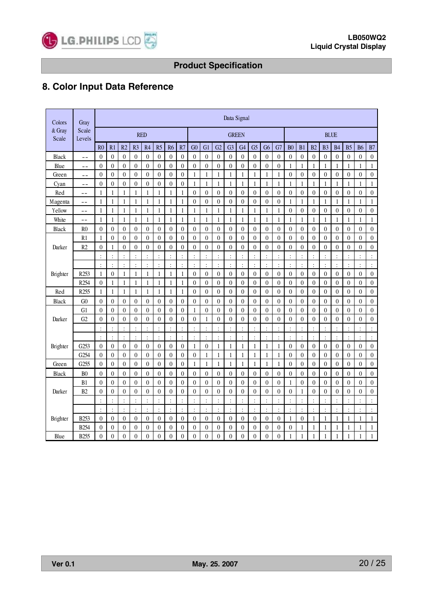

# **8. Color Input Data Reference**

| Colors          | Gray             |                  |                  |                      |                  |                      |                  |                  |                  |                  |                  |                  | Data Signal      |                  |                  |                  |                  |                  |                  |                  |                  |                      |                  |                  |                  |
|-----------------|------------------|------------------|------------------|----------------------|------------------|----------------------|------------------|------------------|------------------|------------------|------------------|------------------|------------------|------------------|------------------|------------------|------------------|------------------|------------------|------------------|------------------|----------------------|------------------|------------------|------------------|
| & Gray<br>Scale | Scale<br>Levels  |                  |                  |                      |                  | <b>RED</b>           |                  |                  |                  |                  |                  |                  | <b>GREEN</b>     |                  |                  |                  |                  |                  | <b>BLUE</b>      |                  |                  |                      |                  |                  |                  |
|                 |                  | R <sub>0</sub>   | R1               | R2                   | R <sub>3</sub>   | R <sub>4</sub>       | R5               | R <sub>6</sub>   | R7               | G <sub>0</sub>   | G1               | G2               | G <sub>3</sub>   | G <sub>4</sub>   | G <sub>5</sub>   | G <sub>6</sub>   | G7               | B <sub>0</sub>   | B1               | B <sub>2</sub>   | B <sub>3</sub>   | <b>B4</b>            | B <sub>5</sub>   | <b>B6</b>        | B7               |
| Black           | $-$              | $\overline{0}$   | $\boldsymbol{0}$ | $\theta$             | $\boldsymbol{0}$ | $\mathbf{0}$         | 0                | $\overline{0}$   | $\overline{0}$   | $\boldsymbol{0}$ | $\mathbf{0}$     | $\overline{0}$   | $\boldsymbol{0}$ | $\boldsymbol{0}$ | $\boldsymbol{0}$ | $\mathbf{0}$     | $\overline{0}$   | $\overline{0}$   | $\theta$         | $\boldsymbol{0}$ | $\boldsymbol{0}$ | $\theta$             | $\boldsymbol{0}$ | $\mathbf{0}$     | $\boldsymbol{0}$ |
| Blue            | --               | $\overline{0}$   | $\boldsymbol{0}$ | $\boldsymbol{0}$     | $\boldsymbol{0}$ | $\mathbf{0}$         | 0                | $\theta$         | $\overline{0}$   | $\mathbf{0}$     | $\mathbf{0}$     | $\overline{0}$   | $\boldsymbol{0}$ | $\boldsymbol{0}$ | $\boldsymbol{0}$ | $\boldsymbol{0}$ | $\mathbf{0}$     | 1                | 1                | 1                | 1                | 1                    | $\mathbf{1}$     | 1                | 1                |
| Green           | $ -$             | $\boldsymbol{0}$ | $\boldsymbol{0}$ | $\boldsymbol{0}$     | $\boldsymbol{0}$ | $\mathbf{0}$         | 0                | $\overline{0}$   | $\boldsymbol{0}$ | 1                | $\mathbf{1}$     | $\mathbf{1}$     | 1                | 1                | $\mathbf{1}$     | 1                | $\mathbf{1}$     | $\boldsymbol{0}$ | $\boldsymbol{0}$ | $\boldsymbol{0}$ | $\boldsymbol{0}$ | $\boldsymbol{0}$     | $\boldsymbol{0}$ | $\boldsymbol{0}$ | $\boldsymbol{0}$ |
| Cyan            | $-$              | $\theta$         | $\overline{0}$   | $\mathbf{0}$         | $\overline{0}$   | $\mathbf{0}$         | $\overline{0}$   | $\overline{0}$   | $\overline{0}$   | $\mathbf{1}$     | $\mathbf{1}$     | 1                | 1                | 1                | 1                | 1                | $\mathbf{1}$     | 1                | $\mathbf{1}$     | 1                | $\mathbf{1}$     | 1                    | $\mathbf{1}$     | 1                | 1                |
| Red             | $ -$             | 1                | $\mathbf{1}$     | 1                    | 1                | 1                    | 1                | 1                | 1                | $\overline{0}$   | $\boldsymbol{0}$ | $\overline{0}$   | $\boldsymbol{0}$ | $\mathbf{0}$     | $\boldsymbol{0}$ | $\boldsymbol{0}$ | $\mathbf{0}$     | $\boldsymbol{0}$ | $\boldsymbol{0}$ | $\overline{0}$   | $\overline{0}$   | $\overline{0}$       | $\overline{0}$   | $\overline{0}$   | $\boldsymbol{0}$ |
| Magenta         | $ -$             | $\mathbf{1}$     | $\mathbf{1}$     | $\mathbf{1}$         | $\mathbf{1}$     | $\mathbf{1}$         | $\mathbf{1}$     | $\,1\,$          | $\mathbf{1}$     | $\boldsymbol{0}$ | $\boldsymbol{0}$ | $\boldsymbol{0}$ | $\boldsymbol{0}$ | $\boldsymbol{0}$ | $\boldsymbol{0}$ | $\boldsymbol{0}$ | $\boldsymbol{0}$ | $\mathbf{1}$     | $\mathbf{1}$     | $\mathbf{1}$     | $\mathbf{1}$     | $\mathbf{1}$         | $\mathbf{1}$     | $\mathbf{1}$     | $\,1$            |
| Yellow          | $ -$             | 1                | $\mathbf{1}$     | 1                    | $\mathbf{1}$     | $\mathbf{1}$         | $\mathbf{1}$     | $\mathbf{1}$     | 1                | $\mathbf{1}$     | $\mathbf{1}$     | $\mathbf{1}$     | $\mathbf{1}$     | $\mathbf{1}$     | $\mathbf{1}$     | $\mathbf{1}$     | $\mathbf{1}$     | $\overline{0}$   | $\boldsymbol{0}$ | $\overline{0}$   | $\overline{0}$   | $\overline{0}$       | $\overline{0}$   | $\overline{0}$   | $\boldsymbol{0}$ |
| White           | $ -$             | 1                | $\mathbf{1}$     | 1                    | $\mathbf{1}$     | 1                    | 1                | $\mathbf{1}$     | 1                | 1                | $\mathbf{1}$     | 1                | $\mathbf{1}$     | $\mathbf{1}$     | 1                | 1                | $\mathbf{1}$     | 1                | $\mathbf{1}$     | $\mathbf{1}$     | 1                | 1                    | $\mathbf{1}$     | 1                | $\mathbf{1}$     |
| Black           | R <sub>0</sub>   | $\overline{0}$   | $\boldsymbol{0}$ | $\boldsymbol{0}$     | $\boldsymbol{0}$ | $\boldsymbol{0}$     | $\boldsymbol{0}$ | $\boldsymbol{0}$ | $\boldsymbol{0}$ | $\boldsymbol{0}$ | $\boldsymbol{0}$ | $\boldsymbol{0}$ | $\boldsymbol{0}$ | $\boldsymbol{0}$ | $\boldsymbol{0}$ | $\boldsymbol{0}$ | $\boldsymbol{0}$ | $\boldsymbol{0}$ | $\boldsymbol{0}$ | $\boldsymbol{0}$ | $\boldsymbol{0}$ | $\boldsymbol{0}$     | $\boldsymbol{0}$ | $\boldsymbol{0}$ | $\boldsymbol{0}$ |
|                 | R1               | 1                | $\boldsymbol{0}$ | $\overline{0}$       | $\overline{0}$   | $\boldsymbol{0}$     | $\overline{0}$   | $\overline{0}$   | $\overline{0}$   | $\overline{0}$   | $\boldsymbol{0}$ | $\overline{0}$   | $\overline{0}$   | $\overline{0}$   | $\overline{0}$   | $\overline{0}$   | $\overline{0}$   | $\overline{0}$   | $\overline{0}$   | $\overline{0}$   | $\overline{0}$   | $\overline{0}$       | $\boldsymbol{0}$ | $\overline{0}$   | $\boldsymbol{0}$ |
| Darker          | R2               | $\overline{0}$   | $\mathbf{1}$     | $\mathbf{0}$         | $\overline{0}$   | $\overline{0}$       | $\overline{0}$   | $\overline{0}$   | $\overline{0}$   | $\overline{0}$   | $\boldsymbol{0}$ | $\boldsymbol{0}$ | $\mathbf{0}$     | $\mathbf{0}$     | $\overline{0}$   | $\overline{0}$   | $\overline{0}$   | $\boldsymbol{0}$ | $\overline{0}$   | $\overline{0}$   | $\overline{0}$   | $\overline{0}$       | $\boldsymbol{0}$ | $\overline{0}$   | $\boldsymbol{0}$ |
|                 |                  | $\ddot{\cdot}$   | $\colon$         | $\ddot{\cdot}$       | $\ddot{\cdot}$   | $\ddot{\cdot}$       |                  | $\colon$         | $\ddot{\cdot}$   | $\vdots$         | $\vdots$         | $\ddot{\cdot}$   | $\ddot{\cdot}$   | $\ddot{\cdot}$   | $\vdots$         | $\ddot{\cdot}$   | $\ddot{\cdot}$   | $\ddot{\cdot}$   | $\ddot{\cdot}$   | :                | $\ddot{\cdot}$   | $\ddot{\cdot}$       | $\colon$         | $\ddot{\cdot}$   | $\vdots$         |
|                 |                  | $\ddot{\cdot}$   | $\vdots$         | $\ddot{\cdot}$       | $\ddot{\cdot}$   | $\ddot{\cdot}$       |                  | $\vdots$         | $\ddot{\cdot}$   | $\vdots$         | $\vdots$         | $\ddot{\cdot}$   | $\ddot{\cdot}$   | $\vdots$         | $\ddot{\cdot}$   | $\ddot{\cdot}$   | $\ddot{\cdot}$   | $\ddot{\cdot}$   | $\ddot{\cdot}$   | $\vdots$         | $\ddot{\cdot}$   | $\ddot{\cdot}$       | $\vdots$         | $\ddot{\cdot}$   | $\frac{1}{2}$    |
| Brighter        | R <sub>253</sub> | 1                | $\overline{0}$   | 1                    | 1                | 1                    | 1                | $\mathbf{1}$     | 1                | $\overline{0}$   | $\mathbf{0}$     | 0                | $\mathbf{0}$     | $\boldsymbol{0}$ | $\overline{0}$   | $\overline{0}$   | $\mathbf{0}$     | $\boldsymbol{0}$ | $\mathbf{0}$     | $\overline{0}$   | $\overline{0}$   | $\mathbf{0}$         | $\overline{0}$   | $\overline{0}$   | $\boldsymbol{0}$ |
|                 | R254             | $\overline{0}$   | $\mathbf{1}$     | 1                    | $\mathbf{1}$     | 1                    | 1                | $\mathbf{1}$     | 1                | $\overline{0}$   | $\boldsymbol{0}$ | 0                | $\overline{0}$   | $\boldsymbol{0}$ | $\boldsymbol{0}$ | $\overline{0}$   | $\boldsymbol{0}$ | $\boldsymbol{0}$ | $\boldsymbol{0}$ | $\boldsymbol{0}$ | $\overline{0}$   | $\overline{0}$       | $\boldsymbol{0}$ | $\overline{0}$   | $\boldsymbol{0}$ |
| Red             | R <sub>255</sub> | 1                | $\mathbf{1}$     | $\mathbf{1}$         | 1                | 1                    | 1                | $\mathbf{1}$     | 1                | $\theta$         | $\boldsymbol{0}$ | $\theta$         | $\boldsymbol{0}$ | $\boldsymbol{0}$ | $\boldsymbol{0}$ | $\boldsymbol{0}$ | $\boldsymbol{0}$ | $\boldsymbol{0}$ | $\boldsymbol{0}$ | $\boldsymbol{0}$ | $\theta$         | $\theta$             | $\boldsymbol{0}$ | $\theta$         | $\boldsymbol{0}$ |
| Black           | G <sub>0</sub>   | $\overline{0}$   | $\boldsymbol{0}$ | 0                    | $\overline{0}$   | $\mathbf{0}$         | $\overline{0}$   | $\theta$         | 0                | $\overline{0}$   | $\mathbf{0}$     | $\overline{0}$   | $\boldsymbol{0}$ | $\mathbf{0}$     | 0                | $\overline{0}$   | $\mathbf{0}$     | $\overline{0}$   | $\boldsymbol{0}$ | $\overline{0}$   | $\overline{0}$   | $\overline{0}$       | $\boldsymbol{0}$ | 0                | $\boldsymbol{0}$ |
|                 | G <sub>1</sub>   | $\overline{0}$   | $\boldsymbol{0}$ | $\boldsymbol{0}$     | $\overline{0}$   | $\mathbf{0}$         | $\overline{0}$   | $\theta$         | 0                | 1                | $\boldsymbol{0}$ | $\boldsymbol{0}$ | $\boldsymbol{0}$ | $\mathbf{0}$     | $\overline{0}$   | $\boldsymbol{0}$ | $\mathbf{0}$     | $\boldsymbol{0}$ | $\boldsymbol{0}$ | $\boldsymbol{0}$ | $\overline{0}$   | $\mathbf{0}$         | $\boldsymbol{0}$ | $\overline{0}$   | $\boldsymbol{0}$ |
| Darker          | G2               | $\boldsymbol{0}$ | $\boldsymbol{0}$ | $\boldsymbol{0}$     | $\boldsymbol{0}$ | $\boldsymbol{0}$     | 0                | $\boldsymbol{0}$ | $\boldsymbol{0}$ | $\boldsymbol{0}$ | $\mathbf{1}$     | $\boldsymbol{0}$ | $\boldsymbol{0}$ | $\boldsymbol{0}$ | $\boldsymbol{0}$ | $\boldsymbol{0}$ | $\boldsymbol{0}$ | $\boldsymbol{0}$ | $\boldsymbol{0}$ | $\boldsymbol{0}$ | $\boldsymbol{0}$ | $\boldsymbol{0}$     | $\boldsymbol{0}$ | $\boldsymbol{0}$ | $\boldsymbol{0}$ |
|                 |                  | $\cdot$          | $\ddot{\cdot}$   | $\ddot{\phantom{0}}$ | $\ddot{\cdot}$   | $\ddot{\phantom{0}}$ |                  | $\ddot{\cdot}$   | $\bullet$        | $\cdot$          | $\vdots$         | $\cdot$          | $\cdot$          | $\cdot$          | $\cdot$          | $\bullet$        | $\ddot{\cdot}$   |                  | $\cdot$          | $\ddot{\cdot}$   | $\cdot$          |                      | $\ddot{\cdot}$   | $\bullet$        | $\ddot{\cdot}$   |
|                 |                  | ÷                | $\ddot{\cdot}$   | $\ddot{\cdot}$       | $\ddot{\cdot}$   | ÷                    | $\ddot{\cdot}$   | $\ddot{\cdot}$   | $\ddot{\cdot}$   | $\ddot{\cdot}$   | $\ddot{\cdot}$   | $\ddot{\cdot}$   | $\ddot{\cdot}$   | $\vdots$         | $\ddot{\cdot}$   | $\ddot{\cdot}$   | $\ddot{\cdot}$   | ÷                | $\colon$         | $\ddot{\cdot}$   | $\ddot{\cdot}$   | ÷                    | $\ddot{\cdot}$   | $\ddot{\cdot}$   | $\ddot{\cdot}$   |
| Brighter        | G253             | $\boldsymbol{0}$ | $\boldsymbol{0}$ | $\boldsymbol{0}$     | $\boldsymbol{0}$ | $\boldsymbol{0}$     | $\boldsymbol{0}$ | $\boldsymbol{0}$ | $\boldsymbol{0}$ | $\mathbf{1}$     | $\boldsymbol{0}$ | $\mathbf{1}$     | $\mathbf{1}$     | $\mathbf{1}$     | 1                | $\mathbf{1}$     | $\mathbf{1}$     | $\boldsymbol{0}$ | $\boldsymbol{0}$ | $\boldsymbol{0}$ | $\boldsymbol{0}$ | $\boldsymbol{0}$     | $\boldsymbol{0}$ | $\boldsymbol{0}$ | $\boldsymbol{0}$ |
|                 | G254             | $\overline{0}$   | $\overline{0}$   | $\theta$             | $\boldsymbol{0}$ | $\overline{0}$       | $\overline{0}$   | $\overline{0}$   | $\overline{0}$   | $\overline{0}$   | 1                | 1                | 1                | 1                | 1                | 1                | 1                | $\overline{0}$   | $\mathbf{0}$     | $\overline{0}$   | $\overline{0}$   | $\overline{0}$       | $\overline{0}$   | $\theta$         | $\boldsymbol{0}$ |
| Green           | G255             | $\overline{0}$   | $\overline{0}$   | $\theta$             | $\overline{0}$   | $\overline{0}$       | $\overline{0}$   | $\theta$         | $\overline{0}$   | 1                | 1                | 1                | 1                | 1                | 1                | 1                | 1                | $\overline{0}$   | $\mathbf{0}$     | $\overline{0}$   | $\overline{0}$   | $\overline{0}$       | $\mathbf{0}$     | $\overline{0}$   | $\boldsymbol{0}$ |
| Black           | B <sub>0</sub>   | $\boldsymbol{0}$ | $\boldsymbol{0}$ | $\boldsymbol{0}$     | $\boldsymbol{0}$ | $\boldsymbol{0}$     | $\boldsymbol{0}$ | $\boldsymbol{0}$ | $\boldsymbol{0}$ | $\mathbf{0}$     | $\boldsymbol{0}$ | $\boldsymbol{0}$ | $\boldsymbol{0}$ | $\boldsymbol{0}$ | $\boldsymbol{0}$ | $\boldsymbol{0}$ | $\boldsymbol{0}$ | $\boldsymbol{0}$ | $\boldsymbol{0}$ | $\boldsymbol{0}$ | $\boldsymbol{0}$ | $\mathbf{0}$         | $\boldsymbol{0}$ | $\boldsymbol{0}$ | $\boldsymbol{0}$ |
|                 | B1               | $\overline{0}$   | $\overline{0}$   | $\mathbf{0}$         | $\overline{0}$   | $\overline{0}$       | $\overline{0}$   | $\overline{0}$   | $\overline{0}$   | $\overline{0}$   | $\overline{0}$   | $\overline{0}$   | $\overline{0}$   | $\overline{0}$   | $\overline{0}$   | $\mathbf{0}$     | $\overline{0}$   | $\mathbf{1}$     | $\overline{0}$   | $\overline{0}$   | $\overline{0}$   | $\overline{0}$       | $\overline{0}$   | $\overline{0}$   | $\overline{0}$   |
| Darker          | B2               | $\overline{0}$   | $\boldsymbol{0}$ | $\mathbf{0}$         | $\overline{0}$   | $\overline{0}$       | $\overline{0}$   | $\overline{0}$   | $\overline{0}$   | $\overline{0}$   | $\overline{0}$   | $\overline{0}$   | $\mathbf{0}$     | $\overline{0}$   | $\overline{0}$   | $\theta$         | $\overline{0}$   | $\overline{0}$   | 1                | $\overline{0}$   | $\overline{0}$   | $\overline{0}$       | $\overline{0}$   | $\overline{0}$   | $\boldsymbol{0}$ |
|                 |                  | $\ddot{\cdot}$   | $\ddot{\cdot}$   | $\ddot{\cdot}$       | $\ddot{\cdot}$   | $\ddot{\cdot}$       |                  | $\ddot{\cdot}$   | $\ddot{\cdot}$   | $\ddot{\cdot}$   | ÷                | $\ddot{\cdot}$   | $\ddot{\cdot}$   | $\ddot{\cdot}$   | $\ddot{\cdot}$   | $\ddot{\cdot}$   | $\ddot{\cdot}$   | $\ddot{\cdot}$   | $\ddot{\cdot}$   | $\ddot{\cdot}$   | $\ddot{\cdot}$   |                      | $\ddot{\cdot}$   | $\ddot{\cdot}$   | $\ddot{\cdot}$   |
|                 |                  | $\cdot$          | $\ddot{\cdot}$   | $\ddot{\cdot}$       | $\ddot{\cdot}$   | ÷                    |                  | $\ddot{\cdot}$   | $\cdot$          | $\ddot{\cdot}$   | $\ddot{\cdot}$   | $\ddot{\cdot}$   | $\ddot{\cdot}$   | :                | $\ddot{\cdot}$   | $\ddot{\cdot}$   | $\ddot{\cdot}$   | ÷                |                  | $\ddot{\cdot}$   | $\ddot{\cdot}$   | $\ddot{\phantom{0}}$ | $\vdots$         | $\ddot{\cdot}$   | $\ddot{\cdot}$   |
| Brighter        | <b>B253</b>      | $\overline{0}$   | $\boldsymbol{0}$ | $\boldsymbol{0}$     | $\overline{0}$   | $\mathbf{0}$         | $\overline{0}$   | $\boldsymbol{0}$ | $\overline{0}$   | $\boldsymbol{0}$ | $\mathbf{0}$     | 0                | $\boldsymbol{0}$ | $\boldsymbol{0}$ | $\boldsymbol{0}$ | $\overline{0}$   | $\mathbf{0}$     | $\mathbf{1}$     | $\mathbf{0}$     | 1                | 1                | 1                    | $\mathbf{1}$     | 1                | 1                |
|                 | B <sub>254</sub> | $\boldsymbol{0}$ | $\boldsymbol{0}$ | $\boldsymbol{0}$     | $\boldsymbol{0}$ | $\boldsymbol{0}$     | 0                | $\boldsymbol{0}$ | $\boldsymbol{0}$ | $\boldsymbol{0}$ | $\boldsymbol{0}$ | $\boldsymbol{0}$ | $\boldsymbol{0}$ | $\boldsymbol{0}$ | $\boldsymbol{0}$ | $\boldsymbol{0}$ | $\boldsymbol{0}$ | $\boldsymbol{0}$ | 1                | 1                | 1                | 1                    | $\mathbf{1}$     | 1                | $\mathbf{1}$     |
| Blue            | <b>B255</b>      | $\theta$         | $\theta$         | $\theta$             | $\theta$         | $\theta$             | $\theta$         | $\theta$         | $\theta$         | $\theta$         | $\theta$         | $\theta$         | $\theta$         | $\theta$         | $\theta$         | $\theta$         | $\theta$         | 1                | $\mathbf{1}$     | 1                | 1                | 1                    | 1                | 1                | 1                |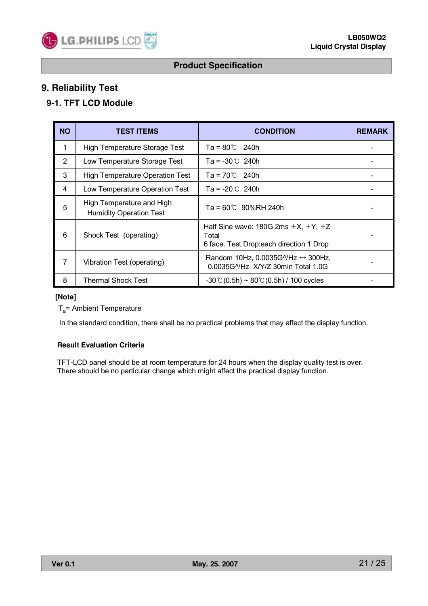

# **9. Reliability Test**

# **9-1. TFT LCD Module**

| <b>NO</b>      | <b>TEST ITEMS</b>                                           | <b>CONDITION</b>                                                                                                     | <b>REMARK</b> |
|----------------|-------------------------------------------------------------|----------------------------------------------------------------------------------------------------------------------|---------------|
| 1              | High Temperature Storage Test                               | Ta = 80℃ 240h                                                                                                        |               |
| 2              | Low Temperature Storage Test                                | Ta = -30℃ 240h                                                                                                       |               |
| 3              | <b>High Temperature Operation Test</b>                      | $Ta = 70^{\circ}C$ 240h                                                                                              |               |
| $\overline{4}$ | Low Temperature Operation Test                              | $Ta = -20^{\circ}C$ 240h                                                                                             |               |
| 5              | High Temperature and High<br><b>Humidity Operation Test</b> | Ta = 60℃ 90%RH 240h                                                                                                  |               |
| 6              | Shock Test (operating)                                      | Half Sine wave: 180G 2ms $\pm X$ , $\pm Y$ , $\pm Z$<br>Total<br>6 face. Test Drop:each direction 1 Drop             |               |
| $\overline{7}$ | Vibration Test (operating)                                  | Random 10Hz, 0.0035G $^{\prime\prime}$ Hz $\leftrightarrow$ 300Hz,<br>0.0035G <sup>N</sup> Hz X/Y/Z 30min Total 1.0G |               |
| 8              | <b>Thermal Shock Test</b>                                   | $-30$ °C (0.5h) ~ 80 °C (0.5h) / 100 cycles                                                                          |               |

#### **[Note]**

 $T_a$ = Ambient Temperature

In the standard condition, there shall be no practical problems that may affect the display function.

#### **Result Evaluation Criteria**

TFT-LCD panel should be at room temperature for 24 hours when the display quality test is over. There should be no particular change which might affect the practical display function.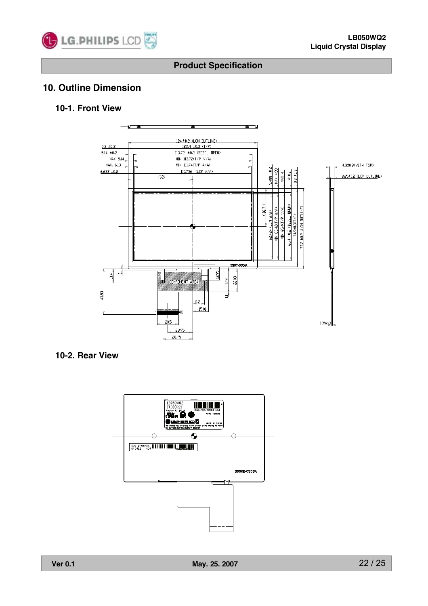

# **10. Outline Dimension**

## **10-1. Front View**



### **10-2. Rear View**

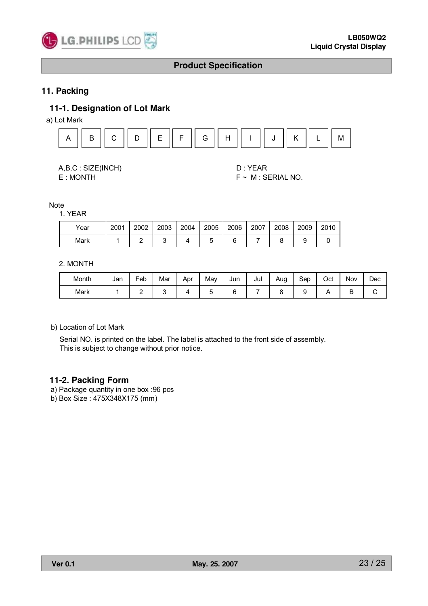

# **11. Packing**

## **11-1. Designation of Lot Mark**

a) Lot Mark



A,B,C : SIZE(INCH) D : YEAR

E : MONTH F ~ M : SERIAL NO.

Note

1. YEAR

| Year | 2001 | 2002 | 2003 | 2004 | 2005 | 2006 | 2007 | 2008 | 2009 | 2010 |
|------|------|------|------|------|------|------|------|------|------|------|
| Mark |      |      |      |      |      |      |      |      |      |      |

2. MONTH

| Month | Jan | Feb | Mar | Apr | May | Jun | Jul | Aug | Sep | Oct | Nov | Dec |
|-------|-----|-----|-----|-----|-----|-----|-----|-----|-----|-----|-----|-----|
| Mark  |     |     |     |     |     |     |     |     |     |     | ∽   |     |

b) Location of Lot Mark

Serial NO. is printed on the label. The label is attached to the front side of assembly. This is subject to change without prior notice.

### **11-2. Packing Form**

a) Package quantity in one box :96 pcs

b) Box Size : 475X348X175 (mm)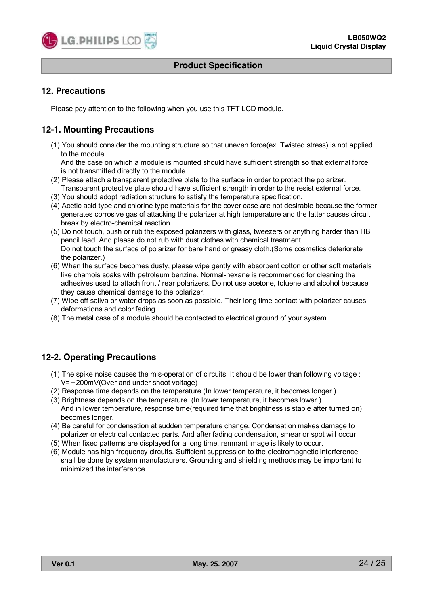

### **12. Precautions**

Please pay attention to the following when you use this TFT LCD module.

# **12-1. Mounting Precautions**

(1) You should consider the mounting structure so that uneven force(ex. Twisted stress) is not applied to the module.

And the case on which a module is mounted should have sufficient strength so that external force is not transmitted directly to the module.

- (2) Please attach a transparent protective plate to the surface in order to protect the polarizer. Transparent protective plate should have sufficient strength in order to the resist external force.
- (3) You should adopt radiation structure to satisfy the temperature specification.
- (4) Acetic acid type and chlorine type materials for the cover case are not desirable because the former generates corrosive gas of attacking the polarizer at high temperature and the latter causes circuit break by electro-chemical reaction.
- (5) Do not touch, push or rub the exposed polarizers with glass, tweezers or anything harder than HB pencil lead. And please do not rub with dust clothes with chemical treatment. Do not touch the surface of polarizer for bare hand or greasy cloth.(Some cosmetics deteriorate the polarizer.)
- (6) When the surface becomes dusty, please wipe gently with absorbent cotton or other soft materials like chamois soaks with petroleum benzine. Normal-hexane is recommended for cleaning the adhesives used to attach front / rear polarizers. Do not use acetone, toluene and alcohol because they cause chemical damage to the polarizer.
- (7) Wipe off saliva or water drops as soon as possible. Their long time contact with polarizer causes deformations and color fading.
- (8) The metal case of a module should be contacted to electrical ground of your system.

# **12-2. Operating Precautions**

- (1) The spike noise causes the mis-operation of circuits. It should be lower than following voltage :  $V=\pm 200$ mV(Over and under shoot voltage)
- (2) Response time depends on the temperature.(In lower temperature, it becomes longer.)
- (3) Brightness depends on the temperature. (In lower temperature, it becomes lower.) And in lower temperature, response time(required time that brightness is stable after turned on) becomes longer.
- (4) Be careful for condensation at sudden temperature change. Condensation makes damage to polarizer or electrical contacted parts. And after fading condensation, smear or spot will occur.
- (5) When fixed patterns are displayed for a long time, remnant image is likely to occur.
- (6) Module has high frequency circuits. Sufficient suppression to the electromagnetic interference shall be done by system manufacturers. Grounding and shielding methods may be important to minimized the interference.